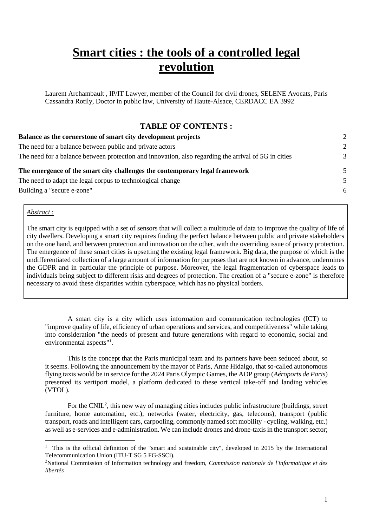# **Smart cities : the tools of a controlled legal revolution**

Laurent Archambault , IP/IT Lawyer, member of the Council for civil drones, SELENE Avocats, Paris Cassandra Rotily, Doctor in public law, University of Haute-Alsace, CERDACC EA 3992

#### **TABLE OF CONTENTS :**

| Balance as the cornerstone of smart city development projects<br>The need for a balance between public and private actors<br>The need for a balance between protection and innovation, also regarding the arrival of 5G in cities | $\mathcal{D}$<br>$\mathcal{D}$<br>3 |                                                                             |   |
|-----------------------------------------------------------------------------------------------------------------------------------------------------------------------------------------------------------------------------------|-------------------------------------|-----------------------------------------------------------------------------|---|
|                                                                                                                                                                                                                                   |                                     | The emergence of the smart city challenges the contemporary legal framework | 5 |
|                                                                                                                                                                                                                                   |                                     | The need to adapt the legal corpus to technological change                  | 5 |
| Building a "secure e-zone"                                                                                                                                                                                                        | -6                                  |                                                                             |   |

#### *Abstract* :

-

The smart city is equipped with a set of sensors that will collect a multitude of data to improve the quality of life of city dwellers. Developing a smart city requires finding the perfect balance between public and private stakeholders on the one hand, and between protection and innovation on the other, with the overriding issue of privacy protection. The emergence of these smart cities is upsetting the existing legal framework. Big data, the purpose of which is the undifferentiated collection of a large amount of information for purposes that are not known in advance, undermines the GDPR and in particular the principle of purpose. Moreover, the legal fragmentation of cyberspace leads to individuals being subject to different risks and degrees of protection. The creation of a "secure e-zone" is therefore necessary to avoid these disparities within cyberspace, which has no physical borders.

A smart city is a city which uses information and communication technologies (ICT) to "improve quality of life, efficiency of urban operations and services, and competitiveness" while taking into consideration "the needs of present and future generations with regard to economic, social and environmental aspects"<sup>1</sup>.

This is the concept that the Paris municipal team and its partners have been seduced about, so it seems. Following the announcement by the mayor of Paris, Anne Hidalgo, that so-called autonomous flying taxis would be in service for the 2024 Paris Olympic Games, the ADP group (*Aéroports de Paris*) presented its vertiport model, a platform dedicated to these vertical take-off and landing vehicles (VTOL).

For the CNIL<sup>2</sup>, this new way of managing cities includes public infrastructure (buildings, street furniture, home automation, etc.), networks (water, electricity, gas, telecoms), transport (public transport, roads and intelligent cars, carpooling, commonly named soft mobility - cycling, walking, etc.) as well as e-services and e-administration. We can include drones and drone-taxis in the transport sector;

<sup>&</sup>lt;sup>1</sup> This is the official definition of the "smart and sustainable city", developed in 2015 by the International Telecommunication Union (ITU-T SG 5 FG-SSCi).

<sup>2</sup>National Commission of Information technology and freedom, *Commission nationale de l'informatique et des libertés*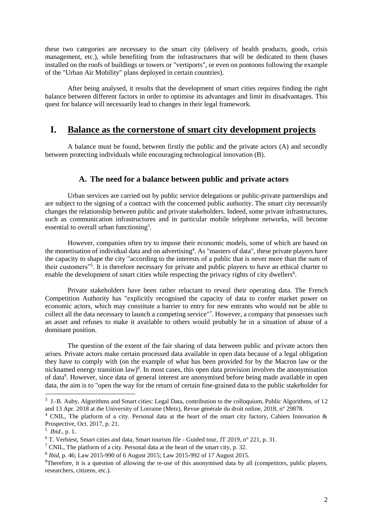these two categories are necessary to the smart city (delivery of health products, goods, crisis management, etc.), while benefiting from the infrastructures that will be dedicated to them (bases installed on the roofs of buildings or towers or "vertiports", or even on pontoons following the example of the "Urban Air Mobility" plans deployed in certain countries).

After being analysed, it results that the development of smart cities requires finding the right balance between different factors in order to optimise its advantages and limit its disadvantages. This quest for balance will necessarily lead to changes in their legal framework.

## <span id="page-1-0"></span>**I. Balance as the cornerstone of smart city development projects**

A balance must be found, between firstly the public and the private actors (A) and secondly between protecting individuals while encouraging technological innovation (B).

#### **A. The need for a balance between public and private actors**

<span id="page-1-1"></span>Urban services are carried out by public service delegations or public-private partnerships and are subject to the signing of a contract with the concerned public authority. The smart city necessarily changes the relationship between public and private stakeholders. Indeed, some private infrastructures, such as communication infrastructures and in particular mobile telephone networks, will become essential to overall urban functioning<sup>3</sup>.

However, companies often try to impose their economic models, some of which are based on the monetisation of individual data and on advertising<sup>4</sup>. As "masters of data", these private players have the capacity to shape the city "according to the interests of a public that is never more than the sum of their customers"<sup>5</sup> . It is therefore necessary for private and public players to have an ethical charter to enable the development of smart cities while respecting the privacy rights of city dwellers<sup>6</sup>.

Private stakeholders have been rather reluctant to reveal their operating data. The French Competition Authority has "explicitly recognised the capacity of data to confer market power on economic actors, which may constitute a barrier to entry for new entrants who would not be able to collect all the data necessary to launch a competing service"<sup>7</sup> . However, a company that possesses such an asset and refuses to make it available to others would probably be in a situation of abuse of a dominant position.

The question of the extent of the fair sharing of data between public and private actors then arises. Private actors make certain processed data available in open data because of a legal obligation they have to comply with (on the example of what has been provided for by the Macron law or the nicknamed energy transition law)<sup>8</sup>. In most cases, this open data provision involves the anonymisation of data<sup>9</sup>. However, since data of general interest are anonymised before being made available in open data, the aim is to "open the way for the return of certain fine-grained data to the public stakeholder for

 $3$  J.-B. Auby, Algorithms and Smart cities: Legal Data, contribution to the colloquium, Public Algorithms, of 12 and 13 Apr. 2018 at the University of Lorraine (Metz), Revue générale du droit online, 2018, n° 29878.

<sup>4</sup> CNIL, The platform of a city. Personal data at the heart of the smart city factory, Cahiers Innovation & Prospective, Oct. 2017, p. 21.

<sup>5</sup> *Ibid*., p. 1.

<sup>6</sup> T. Verbiest, Smart cities and data, Smart tourism file - Guided tour, JT 2019, n° 221, p. 31.

<sup>7</sup> CNIL, The platform of a city. Personal data at the heart of the smart city, p. 32.

<sup>8</sup> *Ibid*, p. 46; Law 2015-990 of 6 August 2015; Law 2015-992 of 17 August 2015.

 $9$ Therefore, it is a question of allowing the re-use of this anonymised data by all (competitors, public players, researchers, citizens, etc.).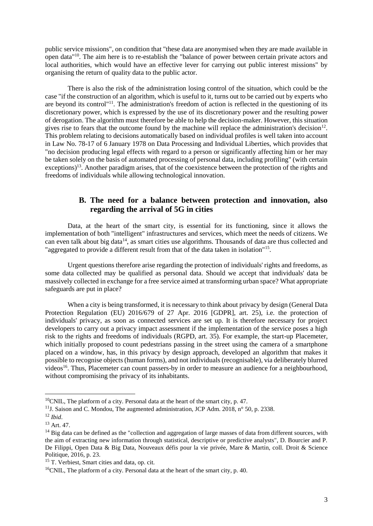public service missions", on condition that "these data are anonymised when they are made available in open data"<sup>10</sup>. The aim here is to re-establish the "balance of power between certain private actors and local authorities, which would have an effective lever for carrying out public interest missions" by organising the return of quality data to the public actor.

There is also the risk of the administration losing control of the situation, which could be the case "if the construction of an algorithm, which is useful to it, turns out to be carried out by experts who are beyond its control"<sup>11</sup>. The administration's freedom of action is reflected in the questioning of its discretionary power, which is expressed by the use of its discretionary power and the resulting power of derogation. The algorithm must therefore be able to help the decision-maker. However, this situation gives rise to fears that the outcome found by the machine will replace the administration's decision $^{12}$ . This problem relating to decisions automatically based on individual profiles is well taken into account in Law No. 78-17 of 6 January 1978 on Data Processing and Individual Liberties, which provides that "no decision producing legal effects with regard to a person or significantly affecting him or her may be taken solely on the basis of automated processing of personal data, including profiling" (with certain exceptions)<sup>13</sup>. Another paradigm arises, that of the coexistence between the protection of the rights and freedoms of individuals while allowing technological innovation.

#### **B. The need for a balance between protection and innovation, also regarding the arrival of 5G in cities**

<span id="page-2-0"></span>Data, at the heart of the smart city, is essential for its functioning, since it allows the implementation of both "intelligent" infrastructures and services, which meet the needs of citizens. We can even talk about big data<sup>14</sup>, as smart cities use algorithms. Thousands of data are thus collected and "aggregated to provide a different result from that of the data taken in isolation"<sup>15</sup>.

Urgent questions therefore arise regarding the protection of individuals' rights and freedoms, as some data collected may be qualified as personal data. Should we accept that individuals' data be massively collected in exchange for a free service aimed at transforming urban space? What appropriate safeguards are put in place?

When a city is being transformed, it is necessary to think about privacy by design (General Data Protection Regulation (EU) 2016/679 of 27 Apr. 2016 [GDPR], art. 25), i.e. the protection of individuals' privacy, as soon as connected services are set up. It is therefore necessary for project developers to carry out a privacy impact assessment if the implementation of the service poses a high risk to the rights and freedoms of individuals (RGPD, art. 35). For example, the start-up Placemeter, which initially proposed to count pedestrians passing in the street using the camera of a smartphone placed on a window, has, in this privacy by design approach, developed an algorithm that makes it possible to recognise objects (human forms), and not individuals (recognisable), via deliberately blurred videos<sup>16</sup>. Thus, Placemeter can count passers-by in order to measure an audience for a neighbourhood, without compromising the privacy of its inhabitants.

<sup>&</sup>lt;sup>10</sup>CNIL, The platform of a city. Personal data at the heart of the smart city, p. 47.

<sup>&</sup>lt;sup>11</sup>J. Saison and C. Mondou, The augmented administration, JCP Adm. 2018, n° 50, p. 2338.

<sup>12</sup> *Ibid*.

<sup>13</sup> Art. 47.

<sup>&</sup>lt;sup>14</sup> Big data can be defined as the "collection and aggregation of large masses of data from different sources, with the aim of extracting new information through statistical, descriptive or predictive analysts", D. Bourcier and P. De Filippi, Open Data & Big Data, Nouveaux défis pour la vie privée, Mare & Martin, coll. Droit & Science Politique, 2016, p. 23.

<sup>15</sup> T. Verbiest, Smart cities and data, op. cit.

<sup>16</sup>CNIL, The platform of a city. Personal data at the heart of the smart city, p. 40.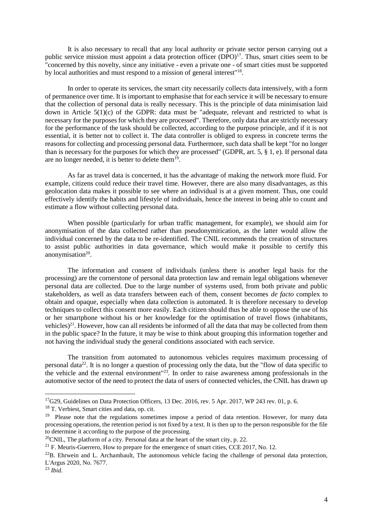It is also necessary to recall that any local authority or private sector person carrying out a public service mission must appoint a data protection officer (DPO)<sup>17</sup>. Thus, smart cities seem to be "concerned by this novelty, since any initiative - even a private one - of smart cities must be supported by local authorities and must respond to a mission of general interest"<sup>18</sup>.

In order to operate its services, the smart city necessarily collects data intensively, with a form of permanence over time. It is important to emphasise that for each service it will be necessary to ensure that the collection of personal data is really necessary. This is the principle of data minimisation laid down in Article  $5(1)(c)$  of the GDPR: data must be "adequate, relevant and restricted to what is necessary for the purposes for which they are processed". Therefore, only data that are strictly necessary for the performance of the task should be collected, according to the purpose principle, and if it is not essential, it is better not to collect it. The data controller is obliged to express in concrete terms the reasons for collecting and processing personal data. Furthermore, such data shall be kept "for no longer than is necessary for the purposes for which they are processed" (GDPR, art. 5, § 1, e). If personal data are no longer needed, it is better to delete them<sup>19</sup>.

As far as travel data is concerned, it has the advantage of making the network more fluid. For example, citizens could reduce their travel time. However, there are also many disadvantages, as this geolocation data makes it possible to see where an individual is at a given moment. Thus, one could effectively identify the habits and lifestyle of individuals, hence the interest in being able to count and estimate a flow without collecting personal data.

When possible (particularly for urban traffic management, for example), we should aim for anonymisation of the data collected rather than pseudonymitication, as the latter would allow the individual concerned by the data to be re-identified. The CNIL recommends the creation of structures to assist public authorities in data governance, which would make it possible to certify this anonymisation<sup>20</sup>.

The information and consent of individuals (unless there is another legal basis for the processing) are the cornerstone of personal data protection law and remain legal obligations whenever personal data are collected. Due to the large number of systems used, from both private and public stakeholders, as well as data transfers between each of them, consent becomes *de facto* complex to obtain and opaque, especially when data collection is automated. It is therefore necessary to develop techniques to collect this consent more easily. Each citizen should thus be able to oppose the use of his or her smartphone without his or her knowledge for the optimisation of travel flows (inhabitants, vehicles)<sup>21</sup>. However, how can all residents be informed of all the data that may be collected from them in the public space? In the future, it may be wise to think about grouping this information together and not having the individual study the general conditions associated with each service.

The transition from automated to autonomous vehicles requires maximum processing of personal data<sup>22</sup>. It is no longer a question of processing only the data, but the "flow of data specific to the vehicle and the external environment<sup>"23</sup>. In order to raise awareness among professionals in the automotive sector of the need to protect the data of users of connected vehicles, the CNIL has drawn up

 $17$ G29, Guidelines on Data Protection Officers, 13 Dec. 2016, rev. 5 Apr. 2017, WP 243 rev. 01, p. 6.

<sup>18</sup> T. Verbiest, Smart cities and data, op. cit.

<sup>&</sup>lt;sup>19</sup> Please note that the regulations sometimes impose a period of data retention. However, for many data processing operations, the retention period is not fixed by a text. It is then up to the person responsible for the file to determine it according to the purpose of the processing.

 $20$ CNIL, The platform of a city. Personal data at the heart of the smart city, p. 22.

<sup>&</sup>lt;sup>21</sup> F. Meuris-Guerrero, How to prepare for the emergence of smart cities, CCE 2017, No. 12.

 $^{22}B$ . Ehrwein and L. Archambault, The autonomous vehicle facing the challenge of personal data protection, L'Argus 2020, No. 7677.

<sup>23</sup> *Ibid.*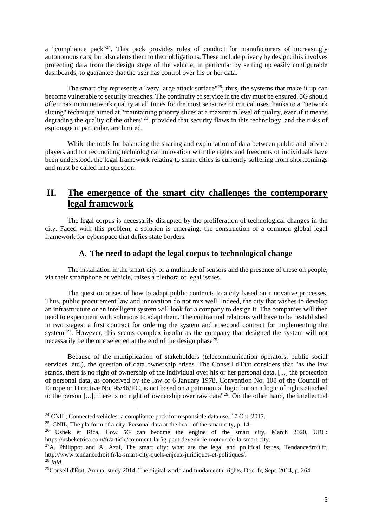a "compliance pack"<sup>24</sup>. This pack provides rules of conduct for manufacturers of increasingly autonomous cars, but also alerts them to their obligations. These include privacy by design: this involves protecting data from the design stage of the vehicle, in particular by setting up easily configurable dashboards, to guarantee that the user has control over his or her data.

The smart city represents a "very large attack surface"<sup>25</sup>; thus, the systems that make it up can become vulnerable to security breaches. The continuity of service in the city must be ensured. 5G should offer maximum network quality at all times for the most sensitive or critical uses thanks to a "network slicing" technique aimed at "maintaining priority slices at a maximum level of quality, even if it means degrading the quality of the others"<sup>26</sup>, provided that security flaws in this technology, and the risks of espionage in particular, are limited.

While the tools for balancing the sharing and exploitation of data between public and private players and for reconciling technological innovation with the rights and freedoms of individuals have been understood, the legal framework relating to smart cities is currently suffering from shortcomings and must be called into question.

# <span id="page-4-0"></span>**II. The emergence of the smart city challenges the contemporary legal framework**

The legal corpus is necessarily disrupted by the proliferation of technological changes in the city. Faced with this problem, a solution is emerging: the construction of a common global legal framework for cyberspace that defies state borders.

#### **A. The need to adapt the legal corpus to technological change**

<span id="page-4-1"></span>The installation in the smart city of a multitude of sensors and the presence of these on people, via their smartphone or vehicle, raises a plethora of legal issues.

The question arises of how to adapt public contracts to a city based on innovative processes. Thus, public procurement law and innovation do not mix well. Indeed, the city that wishes to develop an infrastructure or an intelligent system will look for a company to design it. The companies will then need to experiment with solutions to adapt them. The contractual relations will have to be "established in two stages: a first contract for ordering the system and a second contract for implementing the system<sup>"27</sup>. However, this seems complex insofar as the company that designed the system will not necessarily be the one selected at the end of the design phase<sup>28</sup>.

Because of the multiplication of stakeholders (telecommunication operators, public social services, etc.), the question of data ownership arises. The Conseil d'Etat considers that "as the law stands, there is no right of ownership of the individual over his or her personal data. [...] the protection of personal data, as conceived by the law of 6 January 1978, Convention No. 108 of the Council of Europe or Directive No. 95/46/EC, is not based on a patrimonial logic but on a logic of rights attached to the person [...]; there is no right of ownership over raw data"<sup>29</sup>. On the other hand, the intellectual

1

<sup>&</sup>lt;sup>24</sup> CNIL, Connected vehicles: a compliance pack for responsible data use, 17 Oct. 2017.

<sup>&</sup>lt;sup>25</sup> CNIL, The platform of a city. Personal data at the heart of the smart city, p. 14.

<sup>26</sup> Usbek et Rica, How 5G can become the engine of the smart city, March 2020, URL: https://usbeketrica.com/fr/article/comment-la-5g-peut-devenir-le-moteur-de-la-smart-city.

 $27A$ . Philippot and A. Azzi, The smart city: what are the legal and political issues, Tendancedroit.fr, http://www.tendancedroit.fr/la-smart-city-quels-enjeux-juridiques-et-politiques/. <sup>28</sup> *Ibid.*

<sup>&</sup>lt;sup>29</sup>Conseil d'État, Annual study 2014, The digital world and fundamental rights, Doc. fr, Sept. 2014, p. 264.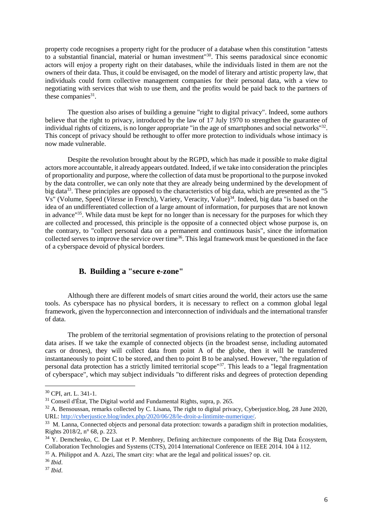property code recognises a property right for the producer of a database when this constitution "attests to a substantial financial, material or human investment"<sup>30</sup>. This seems paradoxical since economic actors will enjoy a property right on their databases, while the individuals listed in them are not the owners of their data. Thus, it could be envisaged, on the model of literary and artistic property law, that individuals could form collective management companies for their personal data, with a view to negotiating with services that wish to use them, and the profits would be paid back to the partners of these companies $31$ .

The question also arises of building a genuine "right to digital privacy". Indeed, some authors believe that the right to privacy, introduced by the law of 17 July 1970 to strengthen the guarantee of individual rights of citizens, is no longer appropriate "in the age of smartphones and social networks"<sup>32</sup>. This concept of privacy should be rethought to offer more protection to individuals whose intimacy is now made vulnerable.

Despite the revolution brought about by the RGPD, which has made it possible to make digital actors more accountable, it already appears outdated. Indeed, if we take into consideration the principles of proportionality and purpose, where the collection of data must be proportional to the purpose invoked by the data controller, we can only note that they are already being undermined by the development of big data<sup>33</sup>. These principles are opposed to the characteristics of big data, which are presented as the "5 Vs" (Volume, Speed (*Vitesse* in French), Variety, Veracity, Value)<sup>34</sup>. Indeed, big data "is based on the idea of an undifferentiated collection of a large amount of information, for purposes that are not known in advance"<sup>35</sup>. While data must be kept for no longer than is necessary for the purposes for which they are collected and processed, this principle is the opposite of a connected object whose purpose is, on the contrary, to "collect personal data on a permanent and continuous basis", since the information collected serves to improve the service over time<sup>36</sup>. This legal framework must be questioned in the face of a cyberspace devoid of physical borders.

## **B. Building a "secure e-zone"**

<span id="page-5-0"></span>Although there are different models of smart cities around the world, their actors use the same tools. As cyberspace has no physical borders, it is necessary to reflect on a common global legal framework, given the hyperconnection and interconnection of individuals and the international transfer of data.

The problem of the territorial segmentation of provisions relating to the protection of personal data arises. If we take the example of connected objects (in the broadest sense, including automated cars or drones), they will collect data from point A of the globe, then it will be transferred instantaneously to point C to be stored, and then to point B to be analysed. However, "the regulation of personal data protection has a strictly limited territorial scope"<sup>37</sup>. This leads to a "legal fragmentation of cyberspace", which may subject individuals "to different risks and degrees of protection depending

<sup>30</sup> CPI, art. L. 341-1.

 $31$  Conseil d'État, The Digital world and Fundamental Rights, supra, p. 265.

<sup>&</sup>lt;sup>32</sup> A. Bensoussan, remarks collected by C. Lisana, The right to digital privacy, Cyberjustice.blog, 28 June 2020, URL: [http://cyberjustice.blog/index.php/2020/06/28/le-droit-a-lintimite-numerique/.](http://cyberjustice.blog/index.php/2020/06/28/le-droit-a-lintimite-numerique/)

<sup>&</sup>lt;sup>33</sup> M. Lanna, Connected objects and personal data protection: towards a paradigm shift in protection modalities, Rights 2018/2, n° 68, p. 223.

<sup>&</sup>lt;sup>34</sup> Y. Demchenko, C. De Laat et P. Membrey, Defining architecture components of the Big Data Écosystem, Collaboration Technologies and Systems (CTS), 2014 International Conference on IEEE 2014. 104 à 112.

<sup>&</sup>lt;sup>35</sup> A. Philippot and A. Azzi, The smart city: what are the legal and political issues? op. cit.

<sup>36</sup> *Ibid*.

<sup>37</sup> *Ibid*.